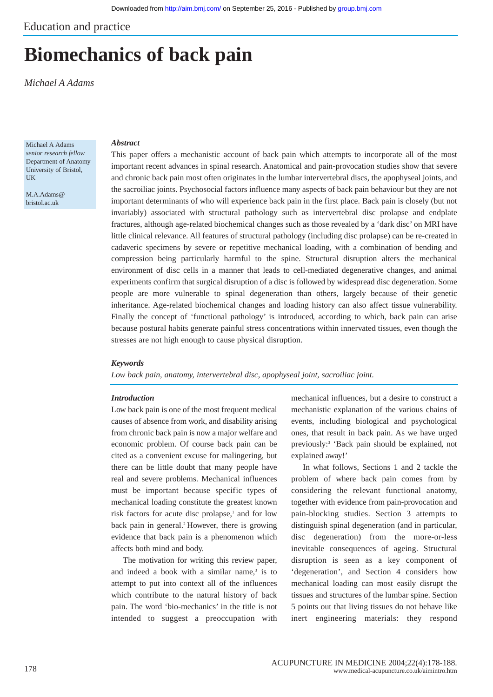# **Biomechanics of back pain**

*Michael A Adams*

Michael A Adams *senior research fellow* Department of Anatomy University of Bristol, UK

M.A.Adams@ bristol.ac.uk

## *Abstract*

This paper offers a mechanistic account of back pain which attempts to incorporate all of the most important recent advances in spinal research. Anatomical and pain-provocation studies show that severe and chronic back pain most often originates in the lumbar intervertebral discs, the apophyseal joints, and the sacroiliac joints. Psychosocial factors influence many aspects of back pain behaviour but they are not important determinants of who will experience back pain in the first place. Back pain is closely (but not invariably) associated with structural pathology such as intervertebral disc prolapse and endplate fractures, although age-related biochemical changes such as those revealed by a 'dark disc' on MRI have little clinical relevance. All features of structural pathology (including disc prolapse) can be re-created in cadaveric specimens by severe or repetitive mechanical loading, with a combination of bending and compression being particularly harmful to the spine. Structural disruption alters the mechanical environment of disc cells in a manner that leads to cell-mediated degenerative changes, and animal experiments confirm that surgical disruption of a disc is followed by widespread disc degeneration. Some people are more vulnerable to spinal degeneration than others, largely because of their genetic inheritance. Age-related biochemical changes and loading history can also affect tissue vulnerability. Finally the concept of 'functional pathology' is introduced, according to which, back pain can arise because postural habits generate painful stress concentrations within innervated tissues, even though the stresses are not high enough to cause physical disruption.

#### *Keywords*

*Low back pain, anatomy, intervertebral disc, apophyseal joint, sacroiliac joint.*

### *Introduction*

Low back pain is one of the most frequent medical causes of absence from work, and disability arising from chronic back pain is now a major welfare and economic problem. Of course back pain can be cited as a convenient excuse for malingering, but there can be little doubt that many people have real and severe problems. Mechanical influences must be important because specific types of mechanical loading constitute the greatest known risk factors for acute disc prolapse,<sup>1</sup> and for low back pain in general.<sup>2</sup> However, there is growing evidence that back pain is a phenomenon which affects both mind and body.

The motivation for writing this review paper, and indeed a book with a similar name, $3$  is to attempt to put into context all of the influences which contribute to the natural history of back pain. The word 'bio-mechanics' in the title is not intended to suggest a preoccupation with mechanical influences, but a desire to construct a mechanistic explanation of the various chains of events, including biological and psychological ones, that result in back pain. As we have urged previously:3 'Back pain should be explained, not explained away!'

In what follows, Sections 1 and 2 tackle the problem of where back pain comes from by considering the relevant functional anatomy, together with evidence from pain-provocation and pain-blocking studies. Section 3 attempts to distinguish spinal degeneration (and in particular, disc degeneration) from the more-or-less inevitable consequences of ageing. Structural disruption is seen as a key component of 'degeneration', and Section 4 considers how mechanical loading can most easily disrupt the tissues and structures of the lumbar spine. Section 5 points out that living tissues do not behave like inert engineering materials: they respond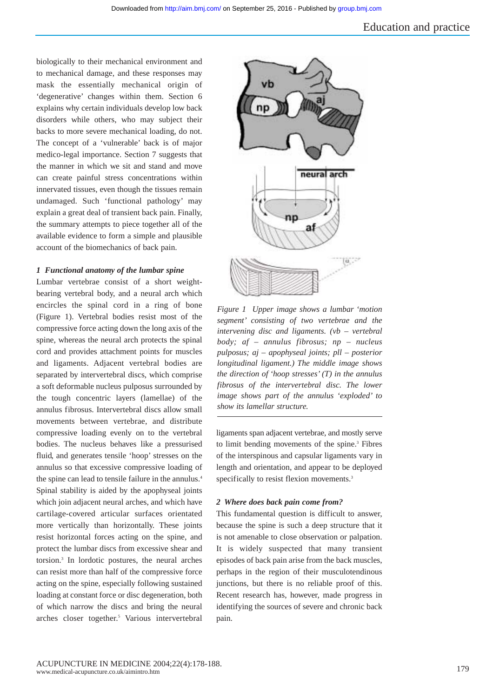biologically to their mechanical environment and to mechanical damage, and these responses may mask the essentially mechanical origin of 'degenerative' changes within them. Section 6 explains why certain individuals develop low back disorders while others, who may subject their backs to more severe mechanical loading, do not. The concept of a 'vulnerable' back is of major medico-legal importance. Section 7 suggests that the manner in which we sit and stand and move can create painful stress concentrations within innervated tissues, even though the tissues remain undamaged. Such 'functional pathology' may explain a great deal of transient back pain. Finally, the summary attempts to piece together all of the available evidence to form a simple and plausible account of the biomechanics of back pain.

# *1 Functional anatomy of the lumbar spine*

Lumbar vertebrae consist of a short weightbearing vertebral body, and a neural arch which encircles the spinal cord in a ring of bone (Figure 1). Vertebral bodies resist most of the compressive force acting down the long axis of the spine, whereas the neural arch protects the spinal cord and provides attachment points for muscles and ligaments. Adjacent vertebral bodies are separated by intervertebral discs, which comprise a soft deformable nucleus pulposus surrounded by the tough concentric layers (lamellae) of the annulus fibrosus. Intervertebral discs allow small movements between vertebrae, and distribute compressive loading evenly on to the vertebral bodies. The nucleus behaves like a pressurised fluid, and generates tensile 'hoop' stresses on the annulus so that excessive compressive loading of the spine can lead to tensile failure in the annulus.<sup>4</sup> Spinal stability is aided by the apophyseal joints which join adjacent neural arches, and which have cartilage-covered articular surfaces orientated more vertically than horizontally. These joints resist horizontal forces acting on the spine, and protect the lumbar discs from excessive shear and torsion.3 In lordotic postures, the neural arches can resist more than half of the compressive force acting on the spine, especially following sustained loading at constant force or disc degeneration, both of which narrow the discs and bring the neural arches closer together.5 Various intervertebral



*Figure 1 Upper image shows a lumbar 'motion segment' consisting of two vertebrae and the intervening disc and ligaments. (vb – vertebral body; af – annulus fibrosus; np – nucleus pulposus; aj – apophyseal joints; pll – posterior longitudinal ligament.) The middle image shows the direction of 'hoop stresses' (T) in the annulus fibrosus of the intervertebral disc. The lower image shows part of the annulus 'exploded' to show its lamellar structure.* 

ligaments span adjacent vertebrae, and mostly serve to limit bending movements of the spine.3 Fibres of the interspinous and capsular ligaments vary in length and orientation, and appear to be deployed specifically to resist flexion movements.<sup>3</sup>

# *2 Where does back pain come from?*

This fundamental question is difficult to answer, because the spine is such a deep structure that it is not amenable to close observation or palpation. It is widely suspected that many transient episodes of back pain arise from the back muscles, perhaps in the region of their musculotendinous junctions, but there is no reliable proof of this. Recent research has, however, made progress in identifying the sources of severe and chronic back pain.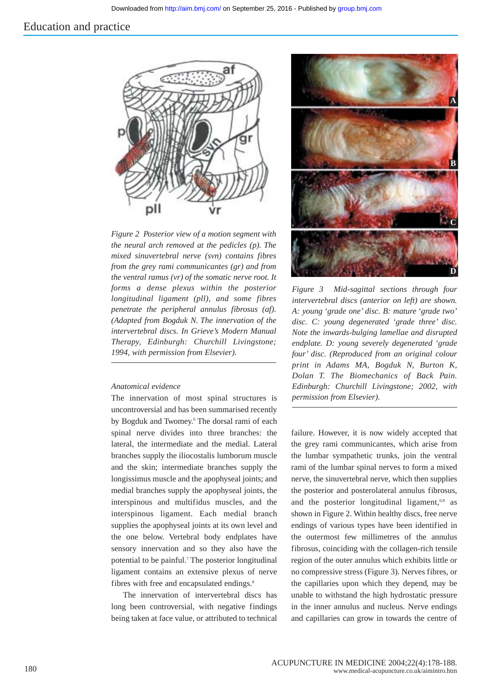

*Figure 2 Posterior view of a motion segment with the neural arch removed at the pedicles (p). The mixed sinuvertebral nerve (svn) contains fibres from the grey rami communicantes (gr) and from the ventral ramus (vr) of the somatic nerve root. It forms a dense plexus within the posterior longitudinal ligament (pll), and some fibres penetrate the peripheral annulus fibrosus (af). (Adapted from Bogduk N. The innervation of the intervertebral discs. In Grieve's Modern Manual Therapy, Edinburgh: Churchill Livingstone; 1994, with permission from Elsevier).*

# *Anatomical evidence*

The innervation of most spinal structures is uncontroversial and has been summarised recently by Bogduk and Twomey.<sup>6</sup> The dorsal rami of each spinal nerve divides into three branches: the lateral, the intermediate and the medial. Lateral branches supply the iliocostalis lumborum muscle and the skin; intermediate branches supply the longissimus muscle and the apophyseal joints; and medial branches supply the apophyseal joints, the interspinous and multifidus muscles, and the interspinous ligament. Each medial branch supplies the apophyseal joints at its own level and the one below. Vertebral body endplates have sensory innervation and so they also have the potential to be painful.7 The posterior longitudinal ligament contains an extensive plexus of nerve fibres with free and encapsulated endings.<sup>8</sup>

The innervation of intervertebral discs has long been controversial, with negative findings being taken at face value, or attributed to technical



*Figure 3 Mid-sagittal sections through four intervertebral discs (anterior on left) are shown. A: young 'grade one' disc. B: mature 'grade two' disc. C: young degenerated 'grade three' disc. Note the inwards-bulging lamellae and disrupted endplate. D: young severely degenerated 'grade four' disc. (Reproduced from an original colour print in Adams MA, Bogduk N, Burton K, Dolan T. The Biomechanics of Back Pain. Edinburgh: Churchill Livingstone; 2002, with permission from Elsevier).*

failure. However, it is now widely accepted that the grey rami communicantes, which arise from the lumbar sympathetic trunks, join the ventral rami of the lumbar spinal nerves to form a mixed nerve, the sinuvertebral nerve, which then supplies the posterior and posterolateral annulus fibrosus, and the posterior longitudinal ligament,<sup>6;8</sup> as shown in Figure 2. Within healthy discs, free nerve endings of various types have been identified in the outermost few millimetres of the annulus fibrosus, coinciding with the collagen-rich tensile region of the outer annulus which exhibits little or no compressive stress (Figure 3). Nerves fibres, or the capillaries upon which they depend, may be unable to withstand the high hydrostatic pressure in the inner annulus and nucleus. Nerve endings and capillaries can grow in towards the centre of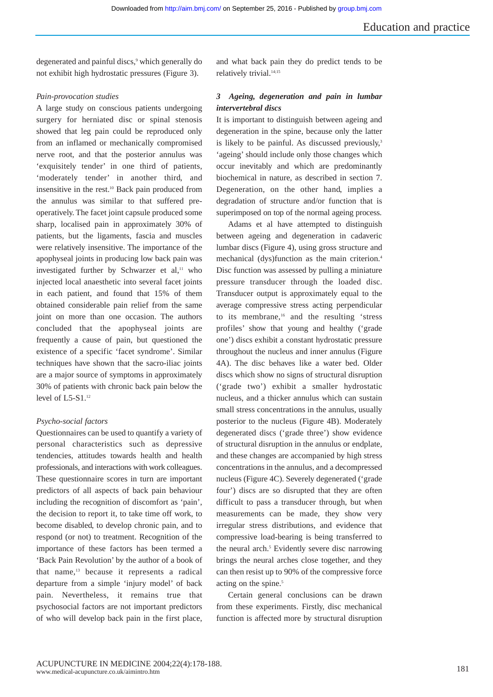degenerated and painful discs,<sup>9</sup> which generally do not exhibit high hydrostatic pressures (Figure 3).

### *Pain-provocation studies*

A large study on conscious patients undergoing surgery for herniated disc or spinal stenosis showed that leg pain could be reproduced only from an inflamed or mechanically compromised nerve root, and that the posterior annulus was 'exquisitely tender' in one third of patients, 'moderately tender' in another third, and insensitive in the rest.10 Back pain produced from the annulus was similar to that suffered preoperatively. The facet joint capsule produced some sharp, localised pain in approximately 30% of patients, but the ligaments, fascia and muscles were relatively insensitive. The importance of the apophyseal joints in producing low back pain was investigated further by Schwarzer et al,<sup>11</sup> who injected local anaesthetic into several facet joints in each patient, and found that 15% of them obtained considerable pain relief from the same joint on more than one occasion. The authors concluded that the apophyseal joints are frequently a cause of pain, but questioned the existence of a specific 'facet syndrome'. Similar techniques have shown that the sacro-iliac joints are a major source of symptoms in approximately 30% of patients with chronic back pain below the level of L5-S1.<sup>12</sup>

# *Psycho-social factors*

Questionnaires can be used to quantify a variety of personal characteristics such as depressive tendencies, attitudes towards health and health professionals, and interactions with work colleagues. These questionnaire scores in turn are important predictors of all aspects of back pain behaviour including the recognition of discomfort as 'pain', the decision to report it, to take time off work, to become disabled, to develop chronic pain, and to respond (or not) to treatment. Recognition of the importance of these factors has been termed a 'Back Pain Revolution' by the author of a book of that name,<sup>13</sup> because it represents a radical departure from a simple 'injury model' of back pain. Nevertheless, it remains true that psychosocial factors are not important predictors of who will develop back pain in the first place,

and what back pain they do predict tends to be relatively trivial.<sup>14;15</sup>

# *3 Ageing, degeneration and pain in lumbar intervertebral discs*

It is important to distinguish between ageing and degeneration in the spine, because only the latter is likely to be painful. As discussed previously, $3$ 'ageing' should include only those changes which occur inevitably and which are predominantly biochemical in nature, as described in section 7. Degeneration, on the other hand, implies a degradation of structure and/or function that is superimposed on top of the normal ageing process.

Adams et al have attempted to distinguish between ageing and degeneration in cadaveric lumbar discs (Figure 4), using gross structure and mechanical (dys)function as the main criterion.4 Disc function was assessed by pulling a miniature pressure transducer through the loaded disc. Transducer output is approximately equal to the average compressive stress acting perpendicular to its membrane,<sup>16</sup> and the resulting 'stress profiles' show that young and healthy ('grade one') discs exhibit a constant hydrostatic pressure throughout the nucleus and inner annulus (Figure 4A). The disc behaves like a water bed. Older discs which show no signs of structural disruption ('grade two') exhibit a smaller hydrostatic nucleus, and a thicker annulus which can sustain small stress concentrations in the annulus, usually posterior to the nucleus (Figure 4B). Moderately degenerated discs ('grade three') show evidence of structural disruption in the annulus or endplate, and these changes are accompanied by high stress concentrations in the annulus, and a decompressed nucleus (Figure 4C). Severely degenerated ('grade four') discs are so disrupted that they are often difficult to pass a transducer through, but when measurements can be made, they show very irregular stress distributions, and evidence that compressive load-bearing is being transferred to the neural arch. $5$  Evidently severe disc narrowing brings the neural arches close together, and they can then resist up to 90% of the compressive force acting on the spine.<sup>5</sup>

Certain general conclusions can be drawn from these experiments. Firstly, disc mechanical function is affected more by structural disruption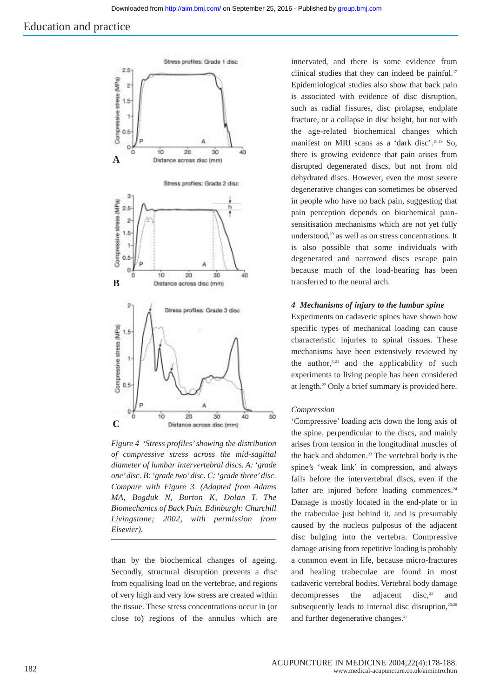

*Figure 4 'Stress profiles' showing the distribution of compressive stress across the mid-sagittal diameter of lumbar intervertebral discs. A: 'grade one'disc. B: 'grade two'disc. C:'grade three'disc. Compare with Figure 3. (Adapted from Adams MA, Bogduk N, Burton K, Dolan T. The Biomechanics of Back Pain. Edinburgh: Churchill Livingstone; 2002, with permission from Elsevier).*

than by the biochemical changes of ageing. Secondly, structural disruption prevents a disc from equalising load on the vertebrae, and regions of very high and very low stress are created within the tissue. These stress concentrations occur in (or close to) regions of the annulus which are

innervated, and there is some evidence from clinical studies that they can indeed be painful.<sup>17</sup> Epidemiological studies also show that back pain is associated with evidence of disc disruption, such as radial fissures, disc prolapse, endplate fracture, or a collapse in disc height, but not with the age-related biochemical changes which manifest on MRI scans as a 'dark disc'.18;19 So, there is growing evidence that pain arises from disrupted degenerated discs, but not from old dehydrated discs. However, even the most severe degenerative changes can sometimes be observed in people who have no back pain, suggesting that pain perception depends on biochemical painsensitisation mechanisms which are not yet fully understood,<sup>20</sup> as well as on stress concentrations. It is also possible that some individuals with degenerated and narrowed discs escape pain because much of the load-bearing has been transferred to the neural arch.

## *4 Mechanisms of injury to the lumbar spine*

Experiments on cadaveric spines have shown how specific types of mechanical loading can cause characteristic injuries to spinal tissues. These mechanisms have been extensively reviewed by the author,<sup>3;21</sup> and the applicability of such experiments to living people has been considered at length.22 Only a brief summary is provided here.

#### *Compression*

'Compressive' loading acts down the long axis of the spine, perpendicular to the discs, and mainly arises from tension in the longitudinal muscles of the back and abdomen.<sup>23</sup> The vertebral body is the spine's 'weak link' in compression, and always fails before the intervertebral discs, even if the latter are injured before loading commences.<sup>24</sup> Damage is mostly located in the end-plate or in the trabeculae just behind it, and is presumably caused by the nucleus pulposus of the adjacent disc bulging into the vertebra. Compressive damage arising from repetitive loading is probably a common event in life, because micro-fractures and healing trabeculae are found in most cadaveric vertebral bodies. Vertebral body damage decompresses the adjacent disc, $25$  and subsequently leads to internal disc disruption,<sup>25;26</sup> and further degenerative changes.<sup>27</sup>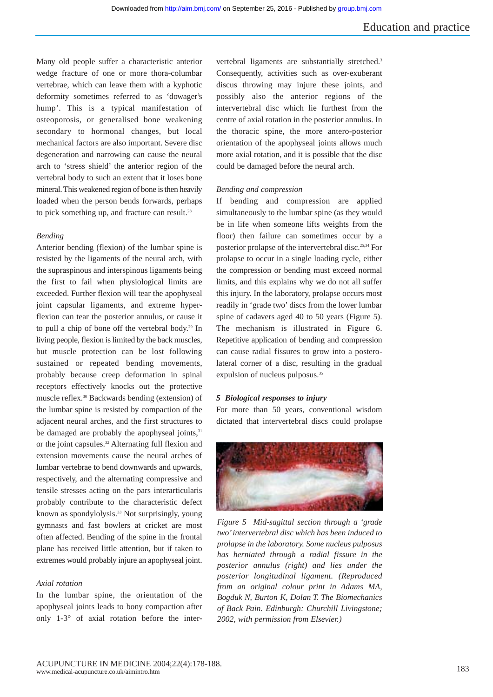Many old people suffer a characteristic anterior wedge fracture of one or more thora-columbar vertebrae, which can leave them with a kyphotic deformity sometimes referred to as 'dowager's hump'. This is a typical manifestation of osteoporosis, or generalised bone weakening secondary to hormonal changes, but local mechanical factors are also important. Severe disc degeneration and narrowing can cause the neural arch to 'stress shield' the anterior region of the vertebral body to such an extent that it loses bone mineral. This weakened region of bone is then heavily loaded when the person bends forwards, perhaps to pick something up, and fracture can result.<sup>28</sup>

### *Bending*

Anterior bending (flexion) of the lumbar spine is resisted by the ligaments of the neural arch, with the supraspinous and interspinous ligaments being the first to fail when physiological limits are exceeded. Further flexion will tear the apophyseal joint capsular ligaments, and extreme hyperflexion can tear the posterior annulus, or cause it to pull a chip of bone off the vertebral body. $29 \text{ In}$ living people, flexion is limited by the back muscles, but muscle protection can be lost following sustained or repeated bending movements, probably because creep deformation in spinal receptors effectively knocks out the protective muscle reflex.30 Backwards bending (extension) of the lumbar spine is resisted by compaction of the adjacent neural arches, and the first structures to be damaged are probably the apophyseal joints,<sup>31</sup> or the joint capsules.<sup>32</sup> Alternating full flexion and extension movements cause the neural arches of lumbar vertebrae to bend downwards and upwards, respectively, and the alternating compressive and tensile stresses acting on the pars interarticularis probably contribute to the characteristic defect known as spondylolysis.<sup>33</sup> Not surprisingly, young gymnasts and fast bowlers at cricket are most often affected. Bending of the spine in the frontal plane has received little attention, but if taken to extremes would probably injure an apophyseal joint.

# *Axial rotation*

In the lumbar spine, the orientation of the apophyseal joints leads to bony compaction after only 1-3° of axial rotation before the inter-

vertebral ligaments are substantially stretched.<sup>3</sup> Consequently, activities such as over-exuberant discus throwing may injure these joints, and possibly also the anterior regions of the intervertebral disc which lie furthest from the centre of axial rotation in the posterior annulus. In the thoracic spine, the more antero-posterior orientation of the apophyseal joints allows much more axial rotation, and it is possible that the disc could be damaged before the neural arch.

#### *Bending and compression*

If bending and compression are applied simultaneously to the lumbar spine (as they would be in life when someone lifts weights from the floor) then failure can sometimes occur by a posterior prolapse of the intervertebral disc.25;34 For prolapse to occur in a single loading cycle, either the compression or bending must exceed normal limits, and this explains why we do not all suffer this injury. In the laboratory, prolapse occurs most readily in 'grade two' discs from the lower lumbar spine of cadavers aged 40 to 50 years (Figure 5). The mechanism is illustrated in Figure 6. Repetitive application of bending and compression can cause radial fissures to grow into a posterolateral corner of a disc, resulting in the gradual expulsion of nucleus pulposus.<sup>35</sup>

### *5 Biological responses to injury*

For more than 50 years, conventional wisdom dictated that intervertebral discs could prolapse



*Figure 5 Mid-sagittal section through a 'grade two'intervertebral disc which has been induced to prolapse in the laboratory. Some nucleus pulposus has herniated through a radial fissure in the posterior annulus (right) and lies under the posterior longitudinal ligament. (Reproduced from an original colour print in Adams MA, Bogduk N, Burton K, Dolan T. The Biomechanics of Back Pain. Edinburgh: Churchill Livingstone; 2002, with permission from Elsevier.)*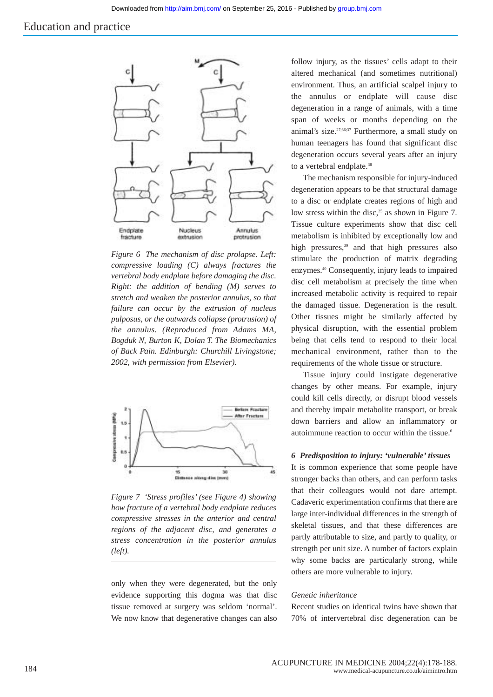

*Figure 6 The mechanism of disc prolapse. Left: compressive loading (C) always fractures the vertebral body endplate before damaging the disc. Right: the addition of bending (M) serves to stretch and weaken the posterior annulus, so that failure can occur by the extrusion of nucleus pulposus, or the outwards collapse (protrusion) of the annulus. (Reproduced from Adams MA, Bogduk N, Burton K, Dolan T. The Biomechanics of Back Pain. Edinburgh: Churchill Livingstone; 2002, with permission from Elsevier).*



*Figure 7 'Stress profiles' (see Figure 4) showing how fracture of a vertebral body endplate reduces compressive stresses in the anterior and central regions of the adjacent disc, and generates a stress concentration in the posterior annulus (left).* 

only when they were degenerated, but the only evidence supporting this dogma was that disc tissue removed at surgery was seldom 'normal'. We now know that degenerative changes can also follow injury, as the tissues' cells adapt to their altered mechanical (and sometimes nutritional) environment. Thus, an artificial scalpel injury to the annulus or endplate will cause disc degeneration in a range of animals, with a time span of weeks or months depending on the animal's size.27;36;37 Furthermore, a small study on human teenagers has found that significant disc degeneration occurs several years after an injury to a vertebral endplate.<sup>38</sup>

The mechanism responsible for injury-induced degeneration appears to be that structural damage to a disc or endplate creates regions of high and low stress within the disc, $25$  as shown in Figure 7. Tissue culture experiments show that disc cell metabolism is inhibited by exceptionally low and high pressures,<sup>39</sup> and that high pressures also stimulate the production of matrix degrading enzymes.40 Consequently, injury leads to impaired disc cell metabolism at precisely the time when increased metabolic activity is required to repair the damaged tissue. Degeneration is the result. Other tissues might be similarly affected by physical disruption, with the essential problem being that cells tend to respond to their local mechanical environment, rather than to the requirements of the whole tissue or structure.

Tissue injury could instigate degenerative changes by other means. For example, injury could kill cells directly, or disrupt blood vessels and thereby impair metabolite transport, or break down barriers and allow an inflammatory or autoimmune reaction to occur within the tissue.<sup>6</sup>

### *6 Predisposition to injury: 'vulnerable' tissues*

It is common experience that some people have stronger backs than others, and can perform tasks that their colleagues would not dare attempt. Cadaveric experimentation confirms that there are large inter-individual differences in the strength of skeletal tissues, and that these differences are partly attributable to size, and partly to quality, or strength per unit size. A number of factors explain why some backs are particularly strong, while others are more vulnerable to injury.

### *Genetic inheritance*

Recent studies on identical twins have shown that 70% of intervertebral disc degeneration can be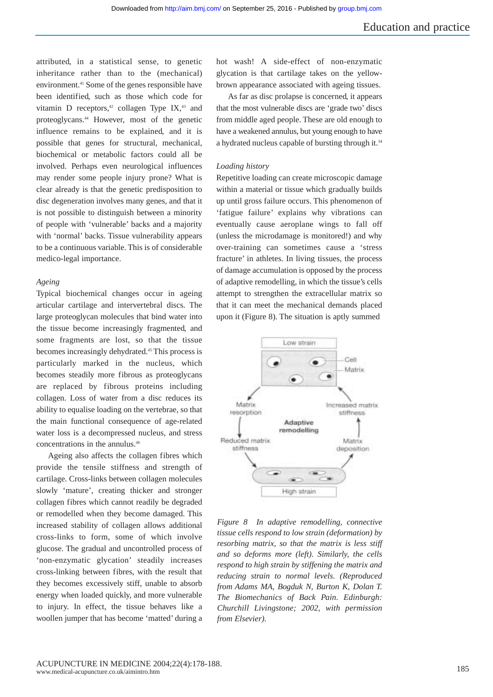attributed, in a statistical sense, to genetic inheritance rather than to the (mechanical) environment.41 Some of the genes responsible have been identified, such as those which code for vitamin D receptors, $42$  collagen Type IX, $43$  and proteoglycans.44 However, most of the genetic influence remains to be explained, and it is possible that genes for structural, mechanical, biochemical or metabolic factors could all be involved. Perhaps even neurological influences may render some people injury prone? What is clear already is that the genetic predisposition to disc degeneration involves many genes, and that it is not possible to distinguish between a minority of people with 'vulnerable' backs and a majority with 'normal' backs. Tissue vulnerability appears to be a continuous variable. This is of considerable medico-legal importance.

#### *Ageing*

Typical biochemical changes occur in ageing articular cartilage and intervertebral discs. The large proteoglycan molecules that bind water into the tissue become increasingly fragmented, and some fragments are lost, so that the tissue becomes increasingly dehydrated.45 This process is particularly marked in the nucleus, which becomes steadily more fibrous as proteoglycans are replaced by fibrous proteins including collagen. Loss of water from a disc reduces its ability to equalise loading on the vertebrae, so that the main functional consequence of age-related water loss is a decompressed nucleus, and stress concentrations in the annulus.46

Ageing also affects the collagen fibres which provide the tensile stiffness and strength of cartilage. Cross-links between collagen molecules slowly 'mature', creating thicker and stronger collagen fibres which cannot readily be degraded or remodelled when they become damaged. This increased stability of collagen allows additional cross-links to form, some of which involve glucose. The gradual and uncontrolled process of 'non-enzymatic glycation' steadily increases cross-linking between fibres, with the result that they becomes excessively stiff, unable to absorb energy when loaded quickly, and more vulnerable to injury. In effect, the tissue behaves like a woollen jumper that has become 'matted' during a hot wash! A side-effect of non-enzymatic glycation is that cartilage takes on the yellowbrown appearance associated with ageing tissues.

As far as disc prolapse is concerned, it appears that the most vulnerable discs are 'grade two' discs from middle aged people. These are old enough to have a weakened annulus, but young enough to have a hydrated nucleus capable of bursting through it.34

### *Loading history*

Repetitive loading can create microscopic damage within a material or tissue which gradually builds up until gross failure occurs. This phenomenon of 'fatigue failure' explains why vibrations can eventually cause aeroplane wings to fall off (unless the microdamage is monitored!) and why over-training can sometimes cause a 'stress fracture' in athletes. In living tissues, the process of damage accumulation is opposed by the process of adaptive remodelling, in which the tissue's cells attempt to strengthen the extracellular matrix so that it can meet the mechanical demands placed upon it (Figure 8). The situation is aptly summed



*Figure 8 In adaptive remodelling, connective tissue cells respond to low strain (deformation) by resorbing matrix, so that the matrix is less stiff and so deforms more (left). Similarly, the cells respond to high strain by stiffening the matrix and reducing strain to normal levels. (Reproduced from Adams MA, Bogduk N, Burton K, Dolan T. The Biomechanics of Back Pain. Edinburgh: Churchill Livingstone; 2002, with permission from Elsevier).*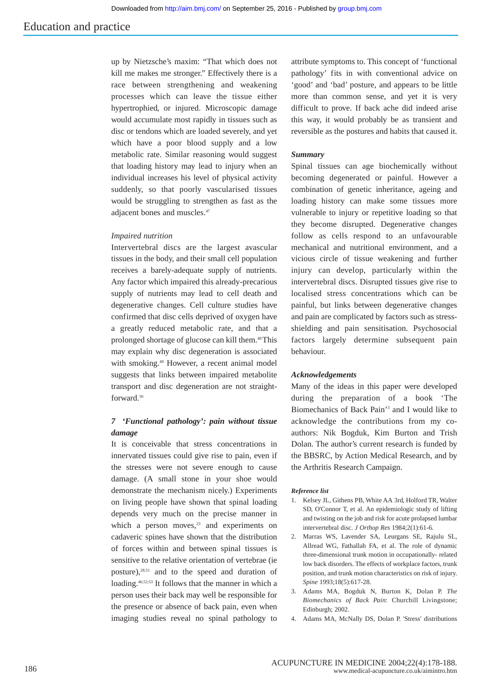up by Nietzsche's maxim: "That which does not kill me makes me stronger." Effectively there is a race between strengthening and weakening processes which can leave the tissue either hypertrophied, or injured. Microscopic damage would accumulate most rapidly in tissues such as disc or tendons which are loaded severely, and yet which have a poor blood supply and a low metabolic rate. Similar reasoning would suggest that loading history may lead to injury when an individual increases his level of physical activity suddenly, so that poorly vascularised tissues would be struggling to strengthen as fast as the adjacent bones and muscles.<sup>47</sup>

#### *Impaired nutrition*

Intervertebral discs are the largest avascular tissues in the body, and their small cell population receives a barely-adequate supply of nutrients. Any factor which impaired this already-precarious supply of nutrients may lead to cell death and degenerative changes. Cell culture studies have confirmed that disc cells deprived of oxygen have a greatly reduced metabolic rate, and that a prolonged shortage of glucose can kill them.48 This may explain why disc degeneration is associated with smoking.<sup>49</sup> However, a recent animal model suggests that links between impaired metabolite transport and disc degeneration are not straightforward.<sup>50</sup>

# *7 'Functional pathology': pain without tissue damage*

It is conceivable that stress concentrations in innervated tissues could give rise to pain, even if the stresses were not severe enough to cause damage. (A small stone in your shoe would demonstrate the mechanism nicely.) Experiments on living people have shown that spinal loading depends very much on the precise manner in which a person moves, $23$  and experiments on cadaveric spines have shown that the distribution of forces within and between spinal tissues is sensitive to the relative orientation of vertebrae (ie posture),28;51 and to the speed and duration of loading.<sup>46;52;53</sup> It follows that the manner in which a person uses their back may well be responsible for the presence or absence of back pain, even when imaging studies reveal no spinal pathology to

attribute symptoms to. This concept of 'functional pathology' fits in with conventional advice on 'good' and 'bad' posture, and appears to be little more than common sense, and yet it is very difficult to prove. If back ache did indeed arise this way, it would probably be as transient and reversible as the postures and habits that caused it.

#### *Summary*

Spinal tissues can age biochemically without becoming degenerated or painful. However a combination of genetic inheritance, ageing and loading history can make some tissues more vulnerable to injury or repetitive loading so that they become disrupted. Degenerative changes follow as cells respond to an unfavourable mechanical and nutritional environment, and a vicious circle of tissue weakening and further injury can develop, particularly within the intervertebral discs. Disrupted tissues give rise to localised stress concentrations which can be painful, but links between degenerative changes and pain are complicated by factors such as stressshielding and pain sensitisation. Psychosocial factors largely determine subsequent pain behaviour.

## *Acknowledgements*

Many of the ideas in this paper were developed during the preparation of a book 'The Biomechanics of Back Pain'3 and I would like to acknowledge the contributions from my coauthors: Nik Bogduk, Kim Burton and Trish Dolan. The author's current research is funded by the BBSRC, by Action Medical Research, and by the Arthritis Research Campaign.

#### *Reference list*

- 1. Kelsey JL, Githens PB, White AA 3rd, Holford TR, Walter SD, O'Connor T, et al. An epidemiologic study of lifting and twisting on the job and risk for acute prolapsed lumbar intervertebral disc. *J Orthop Res* 1984;2(1):61-6.
- 2. Marras WS, Lavender SA, Leurgans SE, Rajulu SL, Allread WG, Fathallah FA, et al. The role of dynamic three-dimensional trunk motion in occupationally- related low back disorders. The effects of workplace factors, trunk position, and trunk motion characteristics on risk of injury. *Spine* 1993;18(5):617-28.
- 3. Adams MA, Bogduk N, Burton K, Dolan P. *The Biomechanics of Back Pain*: Churchill Livingstone; Edinburgh; 2002.
- 4. Adams MA, McNally DS, Dolan P. 'Stress' distributions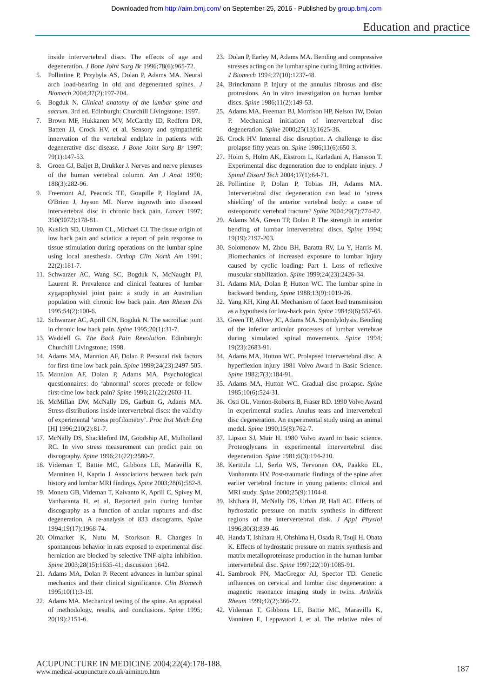inside intervertebral discs. The effects of age and degeneration. *J Bone Joint Surg Br* 1996;78(6):965-72.

- 5. Pollintine P, Przybyla AS, Dolan P, Adams MA. Neural arch load-bearing in old and degenerated spines. *J Biomech* 2004;37(2):197-204.
- 6. Bogduk N. *Clinical anatomy of the lumbar spine and sacrum.* 3rd ed. Edinburgh: Churchill Livingstone; 1997.
- 7. Brown MF, Hukkanen MV, McCarthy ID, Redfern DR, Batten JJ, Crock HV, et al. Sensory and sympathetic innervation of the vertebral endplate in patients with degenerative disc disease. *J Bone Joint Surg Br* 1997; 79(1):147-53.
- 8. Groen GJ, Baljet B, Drukker J. Nerves and nerve plexuses of the human vertebral column. *Am J Anat* 1990; 188(3):282-96.
- 9. Freemont AJ, Peacock TE, Goupille P, Hoyland JA, O'Brien J, Jayson MI. Nerve ingrowth into diseased intervertebral disc in chronic back pain. *Lancet* 1997; 350(9072):178-81.
- 10. Kuslich SD, Ulstrom CL, Michael CJ. The tissue origin of low back pain and sciatica: a report of pain response to tissue stimulation during operations on the lumbar spine using local anesthesia. *Orthop Clin North Am* 1991; 22(2):181-7.
- 11. Schwarzer AC, Wang SC, Bogduk N, McNaught PJ, Laurent R. Prevalence and clinical features of lumbar zygapophysial joint pain: a study in an Australian population with chronic low back pain. *Ann Rheum Dis* 1995;54(2):100-6.
- 12. Schwarzer AC, Aprill CN, Bogduk N. The sacroiliac joint in chronic low back pain. *Spine* 1995;20(1):31-7.
- 13. Waddell G. *The Back Pain Revolution*. Edinburgh: Churchill Livingstone; 1998.
- 14. Adams MA, Mannion AF, Dolan P. Personal risk factors for first-time low back pain. *Spine* 1999;24(23):2497-505.
- 15. Mannion AF, Dolan P, Adams MA. Psychological questionnaires: do 'abnormal' scores precede or follow first-time low back pain? *Spine* 1996;21(22):2603-11.
- 16. McMillan DW, McNally DS, Garbutt G, Adams MA. Stress distributions inside intervertebral discs: the validity of experimental 'stress profilometry'. *Proc Inst Mech Eng* [H] 1996;210(2):81-7.
- 17. McNally DS, Shackleford IM, Goodship AE, Mulholland RC. In vivo stress measurement can predict pain on discography. *Spine* 1996;21(22):2580-7.
- 18. Videman T, Battie MC, Gibbons LE, Maravilla K, Manninen H, Kaprio J. Associations between back pain history and lumbar MRI findings. *Spine* 2003;28(6):582-8.
- 19. Moneta GB, Videman T, Kaivanto K, Aprill C, Spivey M, Vanharanta H, et al. Reported pain during lumbar discography as a function of anular ruptures and disc degeneration. A re-analysis of 833 discograms. *Spine* 1994;19(17):1968-74.
- 20. Olmarker K, Nutu M, Storkson R. Changes in spontaneous behavior in rats exposed to experimental disc herniation are blocked by selective TNF-alpha inhibition. *Spine* 2003;28(15):1635-41; discussion 1642.
- 21. Adams MA, Dolan P. Recent advances in lumbar spinal mechanics and their clinical significance. *Clin Biomech* 1995;10(1):3-19.
- 22. Adams MA. Mechanical testing of the spine. An appraisal of methodology, results, and conclusions. *Spine* 1995; 20(19):2151-6.
- 23. Dolan P, Earley M, Adams MA. Bending and compressive stresses acting on the lumbar spine during lifting activities. *J Biomech* 1994;27(10):1237-48.
- 24. Brinckmann P. Injury of the annulus fibrosus and disc protrusions. An in vitro investigation on human lumbar discs. *Spine* 1986;11(2):149-53.
- 25. Adams MA, Freeman BJ, Morrison HP, Nelson IW, Dolan P. Mechanical initiation of intervertebral disc degeneration. *Spine* 2000;25(13):1625-36.
- 26. Crock HV. Internal disc disruption. A challenge to disc prolapse fifty years on. *Spine* 1986;11(6):650-3.
- 27. Holm S, Holm AK, Ekstrom L, Karladani A, Hansson T. Experimental disc degeneration due to endplate injury. *J Spinal Disord Tech* 2004;17(1):64-71.
- 28. Pollintine P, Dolan P, Tobias JH, Adams MA. Intervertebral disc degeneration can lead to 'stress shielding' of the anterior vertebral body: a cause of osteoporotic vertebral fracture? *Spine* 2004;29(7):774-82.
- 29. Adams MA, Green TP, Dolan P. The strength in anterior bending of lumbar intervertebral discs. *Spine* 1994; 19(19):2197-203.
- 30. Solomonow M, Zhou BH, Baratta RV, Lu Y, Harris M. Biomechanics of increased exposure to lumbar injury caused by cyclic loading: Part 1. Loss of reflexive muscular stabilization. *Spine* 1999;24(23):2426-34.
- 31. Adams MA, Dolan P, Hutton WC. The lumbar spine in backward bending. *Spine* 1988;13(9):1019-26.
- 32. Yang KH, King AI. Mechanism of facet load transmission as a hypothesis for low-back pain. *Spine* 1984;9(6):557-65.
- 33. Green TP, Allvey JC, Adams MA. Spondylolysis. Bending of the inferior articular processes of lumbar vertebrae during simulated spinal movements. *Spine* 1994; 19(23):2683-91.
- 34. Adams MA, Hutton WC. Prolapsed intervertebral disc. A hyperflexion injury 1981 Volvo Award in Basic Science. *Spine* 1982;7(3):184-91.
- 35. Adams MA, Hutton WC. Gradual disc prolapse. *Spine* 1985;10(6):524-31.
- 36. Osti OL, Vernon-Roberts B, Fraser RD. 1990 Volvo Award in experimental studies. Anulus tears and intervertebral disc degeneration. An experimental study using an animal model. *Spine* 1990;15(8):762-7.
- 37. Lipson SJ, Muir H. 1980 Volvo award in basic science. Proteoglycans in experimental intervertebral disc degeneration. *Spine* 1981;6(3):194-210.
- 38. Kerttula LI, Serlo WS, Tervonen OA, Paakko EL, Vanharanta HV. Post-traumatic findings of the spine after earlier vertebral fracture in young patients: clinical and MRI study. *Spine* 2000;25(9):1104-8.
- 39. Ishihara H, McNally DS, Urban JP, Hall AC. Effects of hydrostatic pressure on matrix synthesis in different regions of the intervertebral disk. *J Appl Physiol* 1996;80(3):839-46.
- 40. Handa T, Ishihara H, Ohshima H, Osada R, Tsuji H, Obata K. Effects of hydrostatic pressure on matrix synthesis and matrix metalloproteinase production in the human lumbar intervertebral disc. *Spine* 1997;22(10):1085-91.
- 41. Sambrook PN, MacGregor AJ, Spector TD. Genetic influences on cervical and lumbar disc degeneration: a magnetic resonance imaging study in twins. *Arthritis Rheum* 1999;42(2):366-72.
- 42. Videman T, Gibbons LE, Battie MC, Maravilla K, Vanninen E, Leppavuori J, et al. The relative roles of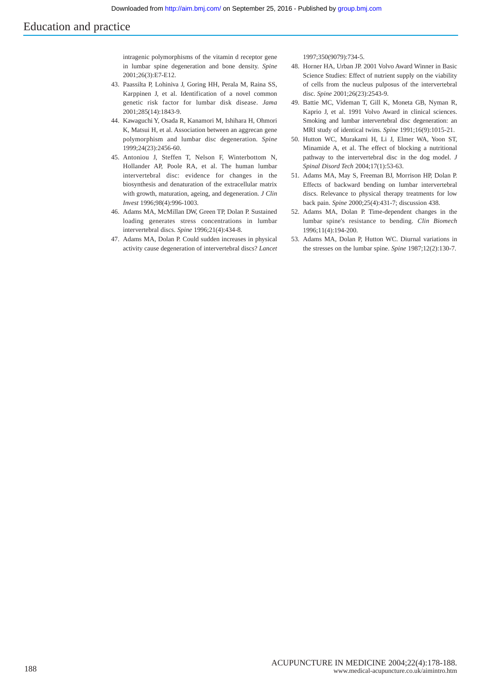intragenic polymorphisms of the vitamin d receptor gene in lumbar spine degeneration and bone density. *Spine* 2001;26(3):E7-E12.

- 43. Paassilta P, Lohiniva J, Goring HH, Perala M, Raina SS, Karppinen J, et al. Identification of a novel common genetic risk factor for lumbar disk disease. *Jama* 2001;285(14):1843-9.
- 44. Kawaguchi Y, Osada R, Kanamori M, Ishihara H, Ohmori K, Matsui H, et al. Association between an aggrecan gene polymorphism and lumbar disc degeneration. *Spine* 1999;24(23):2456-60.
- 45. Antoniou J, Steffen T, Nelson F, Winterbottom N, Hollander AP, Poole RA, et al. The human lumbar intervertebral disc: evidence for changes in the biosynthesis and denaturation of the extracellular matrix with growth, maturation, ageing, and degeneration. *J Clin Invest* 1996;98(4):996-1003.
- 46. Adams MA, McMillan DW, Green TP, Dolan P. Sustained loading generates stress concentrations in lumbar intervertebral discs. *Spine* 1996;21(4):434-8.
- 47. Adams MA, Dolan P. Could sudden increases in physical activity cause degeneration of intervertebral discs? *Lancet*

1997;350(9079):734-5.

- 48. Horner HA, Urban JP. 2001 Volvo Award Winner in Basic Science Studies: Effect of nutrient supply on the viability of cells from the nucleus pulposus of the intervertebral disc. *Spine* 2001;26(23):2543-9.
- 49. Battie MC, Videman T, Gill K, Moneta GB, Nyman R, Kaprio J, et al. 1991 Volvo Award in clinical sciences. Smoking and lumbar intervertebral disc degeneration: an MRI study of identical twins. *Spine* 1991;16(9):1015-21.
- 50. Hutton WC, Murakami H, Li J, Elmer WA, Yoon ST, Minamide A, et al. The effect of blocking a nutritional pathway to the intervertebral disc in the dog model. *J Spinal Disord Tech* 2004;17(1):53-63.
- 51. Adams MA, May S, Freeman BJ, Morrison HP, Dolan P. Effects of backward bending on lumbar intervertebral discs. Relevance to physical therapy treatments for low back pain. *Spine* 2000;25(4):431-7; discussion 438.
- 52. Adams MA, Dolan P. Time-dependent changes in the lumbar spine's resistance to bending. *Clin Biomech* 1996;11(4):194-200.
- 53. Adams MA, Dolan P, Hutton WC. Diurnal variations in the stresses on the lumbar spine. *Spine* 1987;12(2):130-7.